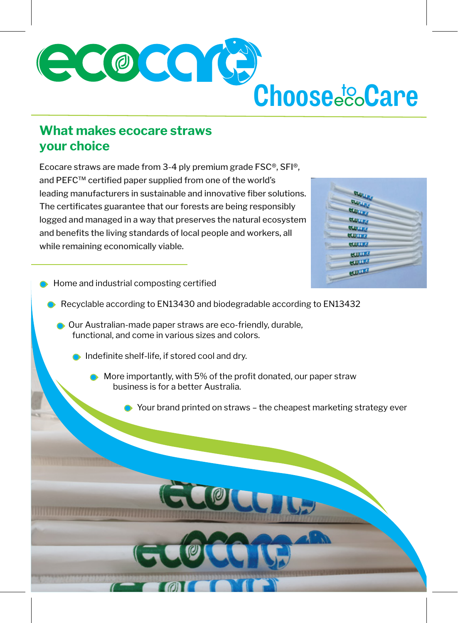

## **What makes ecocare straws your choice**

Ecocare straws are made from 3-4 ply premium grade FSC®, SFI®, and PEFC™ certified paper supplied from one of the world's leading manufacturers in sustainable and innovative fiber solutions. The certificates guarantee that our forests are being responsibly logged and managed in a way that preserves the natural ecosystem and benefits the living standards of local people and workers, all while remaining economically viable.

| 60<br><b>AMI</b> |  |
|------------------|--|
| ٦ų               |  |
| <b>HULLE</b>     |  |
| <b>HULLE</b>     |  |
| <b>CLUBATE</b>   |  |
| ecounts          |  |
| <b>CULTIS</b>    |  |
| ecounts          |  |
| ecount           |  |
| <b>HUITE</b>     |  |
|                  |  |

- Home and industrial composting certified
	- Recyclable according to EN13430 and biodegradable according to EN13432
		- Our Australian-made paper straws are eco-friendly, durable, functional, and come in various sizes and colors.
			- **Indefinite shelf-life, if stored cool and dry.** 
				- **More importantly, with 5% of the profit donated, our paper straw**  business is for a better Australia.
					- **●** Your brand printed on straws the cheapest marketing strategy ever